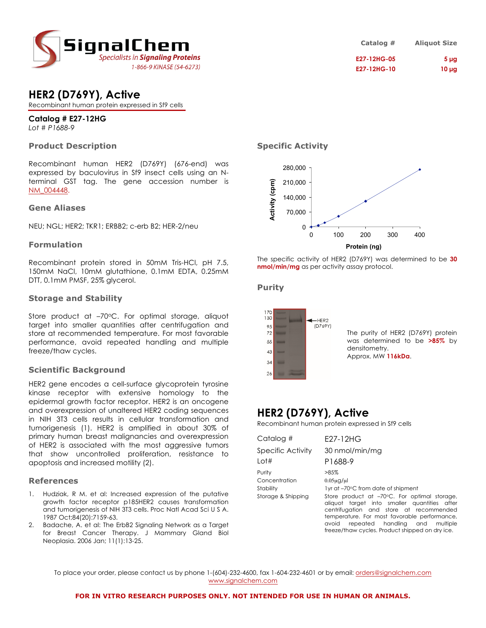

| Catalog #          | <b>Aliquot Size</b> |
|--------------------|---------------------|
| <b>E27-12HG-05</b> | 5 <sub>µq</sub>     |
| <b>E27-12HG-10</b> | $10 \mu g$          |

# **HER2 (D769Y), Active**

Recombinant human protein expressed in Sf9 cells

## **Catalog # E27-12HG**

*Lot # P1688-9*

### **Product Description**

Recombinant human HER2 (D769Y) (676-end) was expressed by baculovirus in Sf9 insect cells using an Nterminal GST tag. The gene accession number is NM\_004448.

### **Gene Aliases**

NEU; NGL; HER2; TKR1; ERBB2; c-erb B2; HER-2/neu

### **Formulation**

Recombinant protein stored in 50mM Tris-HCl, pH 7.5, 150mM NaCl, 10mM glutathione, 0.1mM EDTA, 0.25mM DTT, 0.1mM PMSF, 25% glycerol.

### **Storage and Stability**

Store product at –70°C. For optimal storage, aliquot target into smaller quantities after centrifugation and store at recommended temperature. For most favorable performance, avoid repeated handling and multiple freeze/thaw cycles.

### **Scientific Background**

HER2 gene encodes a cell-surface glycoprotein tyrosine kinase receptor with extensive homology to the epidermal growth factor receptor. HER2 is an oncogene and overexpression of unaltered HER2 coding sequences in NIH 3T3 cells results in cellular transformation and tumorigenesis (1). HER2 is amplified in about 30% of primary human breast malignancies and overexpression of HER2 is associated with the most aggressive tumors that show uncontrolled proliferation, resistance to apoptosis and increased motility (2).

#### **References**

- 1. Hudziak, R M. et al: Increased expression of the putative growth factor receptor p185HER2 causes transformation and tumorigenesis of NIH 3T3 cells. Proc Natl Acad Sci U S A. 1987 Oct;84(20):7159-63.
- 2. Badache, A. et al: The ErbB2 Signaling Network as a Target for Breast Cancer Therapy. J Mammary Gland Biol Neoplasia. 2006 Jan; 11(1):13-25.

### **Specific Activity**



The specific activity of HER2 (D769Y) was determined to be **30 nmol/min/mg** as per activity assay protocol.

### **Purity**



The purity of HER2 (D769Y) protein was determined to be **>85%** by densitometry. Approx. MW **116kDa**.

# **HER2 (D769Y), Active**

Recombinant human protein expressed in Sf9 cells

| Catalog #                                                  | F27-12HG                                                                                                                                                                                                                                                                                                                                                     |
|------------------------------------------------------------|--------------------------------------------------------------------------------------------------------------------------------------------------------------------------------------------------------------------------------------------------------------------------------------------------------------------------------------------------------------|
| Specific Activity<br>Lot#                                  | 30 nmol/min/mg<br>P1688-9                                                                                                                                                                                                                                                                                                                                    |
| Purity<br>Concentration<br>Stability<br>Storage & Shipping | $>85\%$<br>$0.05\mu$ g/ $\mu$<br>1yr at −70°C from date of shipment<br>Store product at -70°C. For optimal storage,<br>aliquot target into smaller quantities after<br>centrifugation and store at recommended<br>temperature. For most favorable performance,<br>repeated handling and multiple<br>avoid<br>freeze/thaw cycles. Product shipped on dry ice. |

To place your order, please contact us by phone 1-(604)-232-4600, fax 1-604-232-4601 or by email: orders@signalchem.com www.signalchem.com